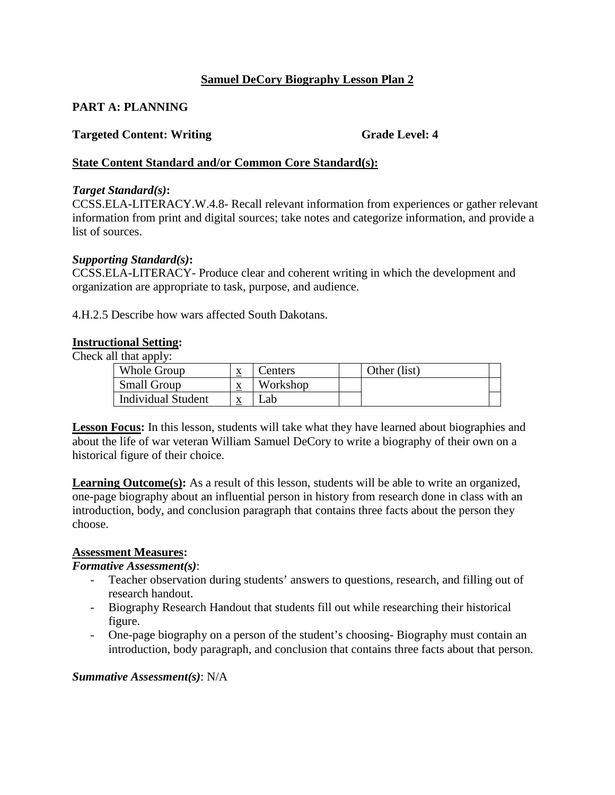## **Samuel DeCory Biography Lesson Plan 2**

# **PART A: PLANNING**

# **Targeted Content: Writing Grade Level: 4 Grade Level: 4**

## **State Content Standard and/or Common Core Standard(s):**

#### *Target Standard(s)***:**

CCSS.ELA-LITERACY.W.4.8- Recall relevant information from experiences or gather relevant information from print and digital sources; take notes and categorize information, and provide a list of sources.

#### *Supporting Standard(s)***:**

CCSS.ELA-LITERACY- Produce clear and coherent writing in which the development and organization are appropriate to task, purpose, and audience.

4.H.2.5 Describe how wars affected South Dakotans.

#### **Instructional Setting:**

Check all that apply:

| Whole Group               | $\mathbf{v}$<br>▵ | enters   | Other (list) |  |
|---------------------------|-------------------|----------|--------------|--|
| <b>Small Group</b>        | A                 | Workshop |              |  |
| <b>Individual Student</b> |                   | ab       |              |  |

**Lesson Focus:** In this lesson, students will take what they have learned about biographies and about the life of war veteran William Samuel DeCory to write a biography of their own on a historical figure of their choice.

Learning Outcome(s): As a result of this lesson, students will be able to write an organized, one-page biography about an influential person in history from research done in class with an introduction, body, and conclusion paragraph that contains three facts about the person they choose.

#### **Assessment Measures:**

#### *Formative Assessment(s)*:

- Teacher observation during students' answers to questions, research, and filling out of research handout.
- Biography Research Handout that students fill out while researching their historical figure.
- - One-page biography on a person of the student's choosing- Biography must contain an introduction, body paragraph, and conclusion that contains three facts about that person.

#### *Summative Assessment(s)*: N/A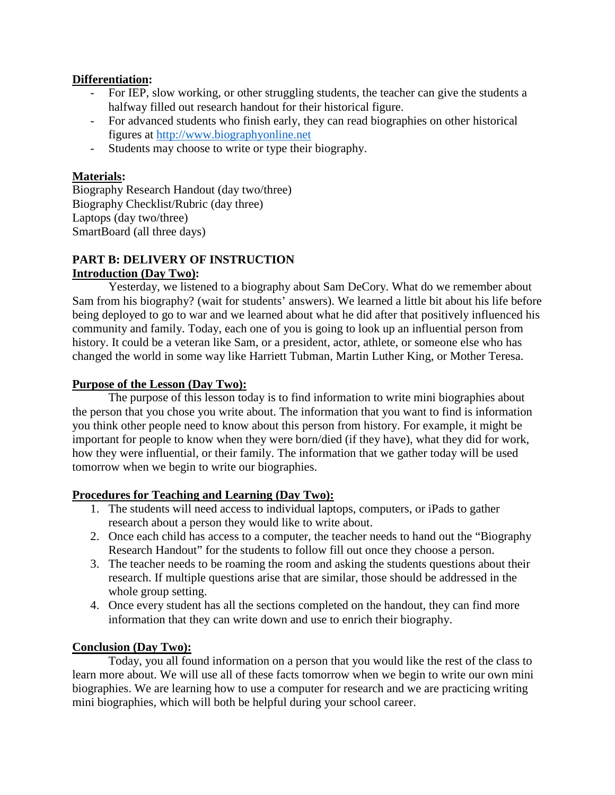## **Differentiation:**

- - For IEP, slow working, or other struggling students, the teacher can give the students a halfway filled out research handout for their historical figure.
- halfway filled out research handout for their historical figure.<br>- For advanced students who finish early, they can read biographies on other historical figures at http://www.biographyonline.net
- Students may choose to write or type their biography.

## **Materials:**

 Biography Research Handout (day two/three) Biography Checklist/Rubric (day three) Laptops (day two/three) SmartBoard (all three days)

## **PART B: DELIVERY OF INSTRUCTION Introduction (Day Two):**

 community and family. Today, each one of you is going to look up an influential person from Yesterday, we listened to a biography about Sam DeCory. What do we remember about Sam from his biography? (wait for students' answers). We learned a little bit about his life before being deployed to go to war and we learned about what he did after that positively influenced his history. It could be a veteran like Sam, or a president, actor, athlete, or someone else who has changed the world in some way like Harriett Tubman, Martin Luther King, or Mother Teresa.

#### **Purpose of the Lesson (Day Two):**

 the person that you chose you write about. The information that you want to find is information how they were influential, or their family. The information that we gather today will be used The purpose of this lesson today is to find information to write mini biographies about you think other people need to know about this person from history. For example, it might be important for people to know when they were born/died (if they have), what they did for work, tomorrow when we begin to write our biographies.

#### **Procedures for Teaching and Learning (Day Two):**

- 1. The students will need access to individual laptops, computers, or iPads to gather research about a person they would like to write about.
- Research Handout" for the students to follow fill out once they choose a person. 2. Once each child has access to a computer, the teacher needs to hand out the "Biography
- 3. The teacher needs to be roaming the room and asking the students questions about their research. If multiple questions arise that are similar, those should be addressed in the whole group setting.
- 4. Once every student has all the sections completed on the handout, they can find more information that they can write down and use to enrich their biography.

#### **Conclusion (Day Two):**

Today, you all found information on a person that you would like the rest of the class to learn more about. We will use all of these facts tomorrow when we begin to write our own mini biographies. We are learning how to use a computer for research and we are practicing writing mini biographies, which will both be helpful during your school career.